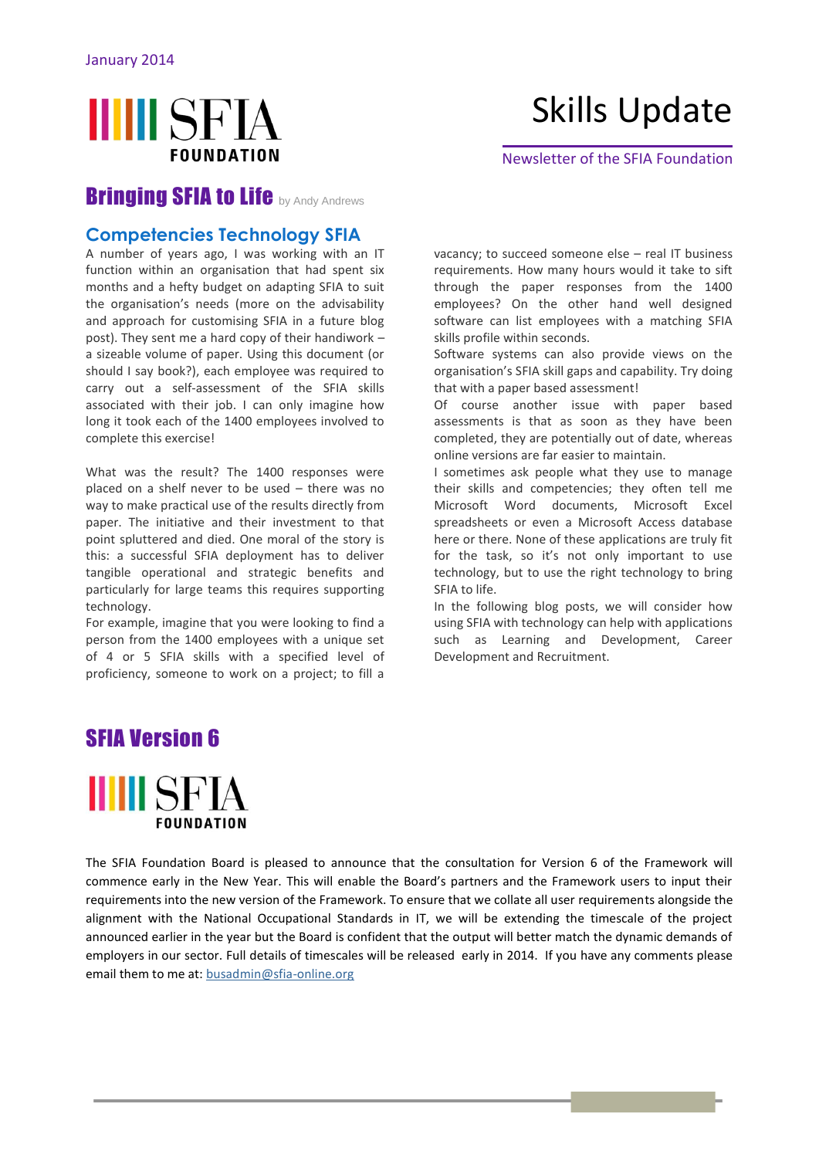## **IIIII** SFIA **FOUNDATION**

# Skills Update

Newsletter of the SFIA Foundation

#### **Bringing SFIA to Life by Andy Andrews**

#### **[Competencies](http://www.lexonis.com/blog/category/competencies) [Technology](http://www.lexonis.com/blog/category/technology) [SFIA](http://www.lexonis.com/blog/category/sfia)**

A number of years ago, I was working with an IT function within an organisation that had spent six months and a hefty budget on adapting SFIA to suit the organisation's needs (more on the advisability and approach for customising SFIA in a future blog post). They sent me a hard copy of their handiwork – a sizeable volume of paper. Using this document (or should I say book?), each employee was required to carry out a self-assessment of the SFIA skills associated with their job. I can only imagine how long it took each of the 1400 employees involved to complete this exercise!

What was the result? The 1400 responses were placed on a shelf never to be used – there was no way to make practical use of the results directly from paper. The initiative and their investment to that point spluttered and died. One moral of the story is this: a successful SFIA deployment has to deliver tangible operational and strategic benefits and particularly for large teams this requires supporting technology.

For example, imagine that you were looking to find a person from the 1400 employees with a unique set of 4 or 5 SFIA skills with a specified level of proficiency, someone to work on a project; to fill a

vacancy; to succeed someone else – real IT business requirements. How many hours would it take to sift through the paper responses from the 1400 employees? On the other hand well designed software can list employees with a matching SFIA skills profile within seconds.

Software systems can also provide views on the organisation's SFIA skill gaps and capability. Try doing that with a paper based assessment!

Of course another issue with paper based assessments is that as soon as they have been completed, they are potentially out of date, whereas online versions are far easier to maintain.

I sometimes ask people what they use to manage their skills and competencies; they often tell me Microsoft Word documents, Microsoft Excel spreadsheets or even a Microsoft Access database here or there. None of these applications are truly fit for the task, so it's not only important to use technology, but to use the right technology to bring SFIA to life.

In the following blog posts, we will consider how using SFIA with technology can help with applications such as Learning and Development, Career Development and Recruitment.

### SFIA Version 6



The SFIA Foundation Board is pleased to announce that the consultation for Version 6 of the Framework will commence early in the New Year. This will enable the Board's partners and the Framework users to input their requirements into the new version of the Framework. To ensure that we collate all user requirements alongside the alignment with the National Occupational Standards in IT, we will be extending the timescale of the project announced earlier in the year but the Board is confident that the output will better match the dynamic demands of employers in our sector. Full details of timescales will be released early in 2014. If you have any comments please email them to me at: [busadmin@sfia-online.org](mailto:busadmin@sfia-online.org)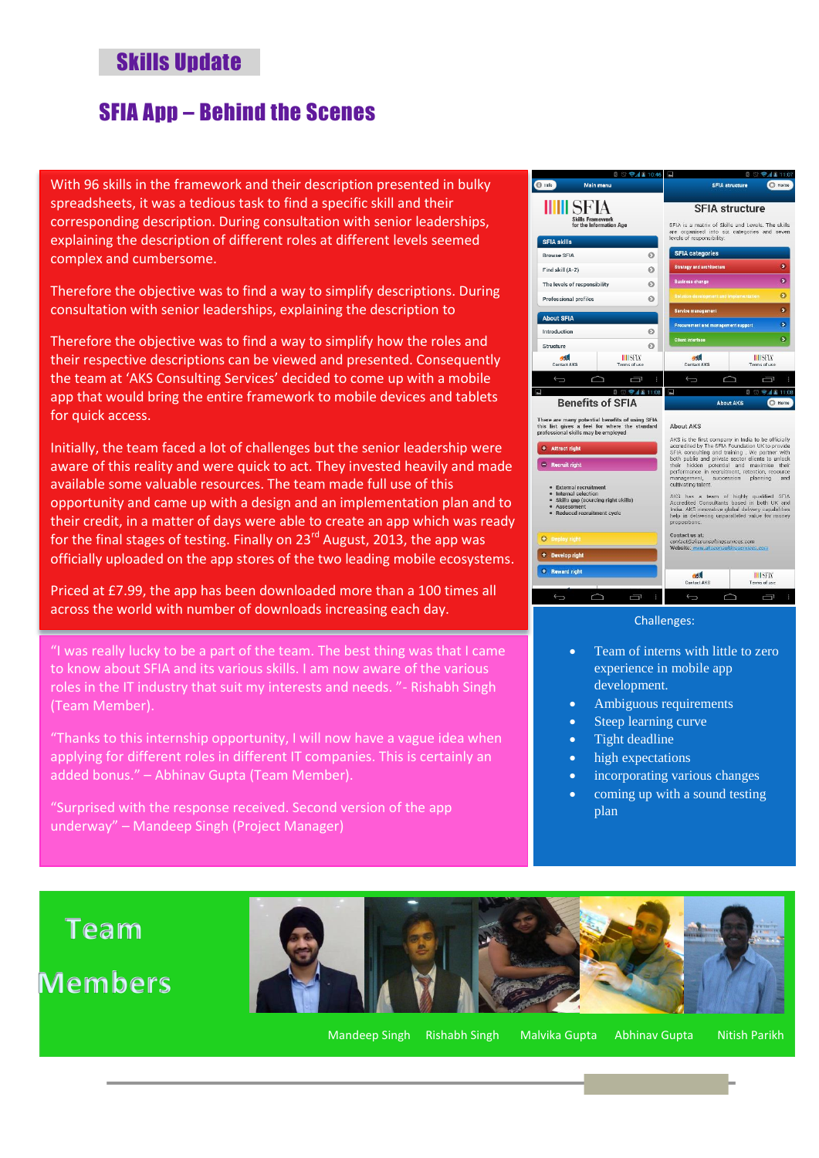#### SFIA App – Behind the Scenes

With 96 skills in the framework and their description presented in bulky spreadsheets, it was a tedious task to find a specific skill and their corresponding description. During consultation with senior leaderships, explaining the description of different roles at different levels seemed complex and cumbersome.

Therefore the objective was to find a way to simplify descriptions. During consultation with senior leaderships, explaining the description to

Therefore the objective was to find a way to simplify how the roles and their respective descriptions can be viewed and presented. Consequently the team at 'AKS Consulting Services' decided to come up with a mobile app that would bring the entire framework to mobile devices and tablets for quick access.

Initially, the team faced a lot of challenges but the senior leadership were aware of this reality and were quick to act. They invested heavily and made available some valuable resources. The team made full use of this opportunity and came up with a design and an implementation plan and to their credit, in a matter of days were able to create an app which was ready for the final stages of testing. Finally on  $23^{rd}$  August, 2013, the app was officially uploaded on the app stores of the two leading mobile ecosystems.

Priced at £7.99, the app has been downloaded more than a 100 times all across the world with number of downloads increasing each day.

"I was really lucky to be a part of the team. The best thing was that I came to know about SFIA and its various skills. I am now aware of the various roles in the IT industry that suit my interests and needs. "- Rishabh Singh (Team Member).

"Thanks to this internship opportunity, I will now have a vague idea when applying for different roles in different IT companies. This is certainly an added bonus." – Abhinav Gupta (Team Member).

"Surprised with the response received. Second version of the app underway" – Mandeep Singh (Project Manager)



#### Challenges:

- Team of interns with little to zero experience in mobile app development.
- Ambiguous requirements
- Steep learning curve
- Tight deadline
- high expectations
- incorporating various changes
- coming up with a sound testing plan

# **Team**

## **Members**



Mandeep Singh Rishabh Singh Malvika Gupta Abhinav Gupta Nitish Parikh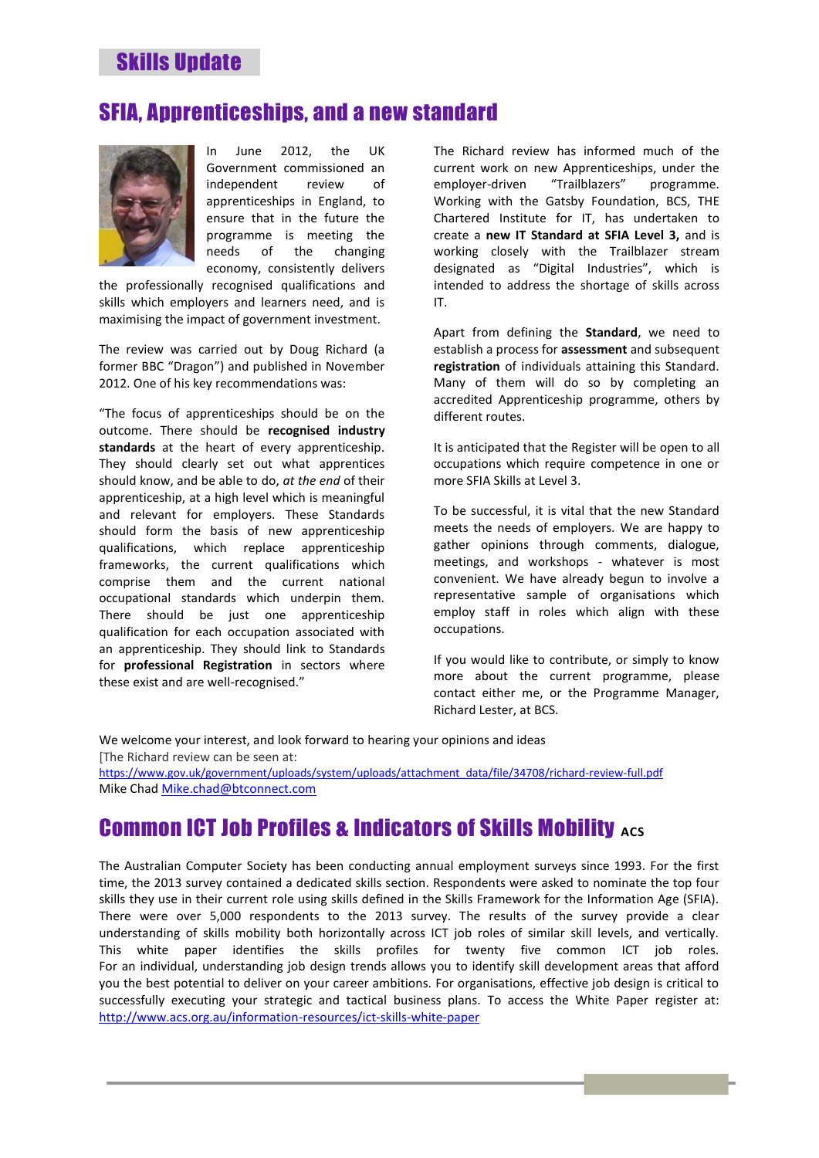#### SFIA, Apprenticeships, and a new standard



In June 2012, the UK Government commissioned an independent review of apprenticeships in England, to ensure that in the future the programme is meeting the needs of the changing economy, consistently delivers

the professionally recognised qualifications and skills which employers and learners need, and is maximising the impact of government investment.

The review was carried out by Doug Richard (a former BBC "Dragon") and published in November 2012. One of his key recommendations was:

"The focus of apprenticeships should be on the outcome. There should be **recognised industry standards** at the heart of every apprenticeship. They should clearly set out what apprentices should know, and be able to do, *at the end* of their apprenticeship, at a high level which is meaningful and relevant for employers. These Standards should form the basis of new apprenticeship qualifications, which replace apprenticeship frameworks, the current qualifications which comprise them and the current national occupational standards which underpin them. There should be just one apprenticeship qualification for each occupation associated with an apprenticeship. They should link to Standards for **professional Registration** in sectors where these exist and are well-recognised."

The Richard review has informed much of the current work on new Apprenticeships, under the employer-driven "Trailblazers" programme. Working with the Gatsby Foundation, BCS, THE Chartered Institute for IT, has undertaken to create a **new IT Standard at SFIA Level 3,** and is working closely with the Trailblazer stream designated as "Digital Industries", which is intended to address the shortage of skills across IT.

Apart from defining the **Standard**, we need to establish a process for **assessment** and subsequent **registration** of individuals attaining this Standard. Many of them will do so by completing an accredited Apprenticeship programme, others by different routes.

It is anticipated that the Register will be open to all occupations which require competence in one or more SFIA Skills at Level 3.

To be successful, it is vital that the new Standard meets the needs of employers. We are happy to gather opinions through comments, dialogue, meetings, and workshops - whatever is most convenient. We have already begun to involve a representative sample of organisations which employ staff in roles which align with these occupations.

If you would like to contribute, or simply to know more about the current programme, please contact either me, or the Programme Manager, Richard Lester, at BCS.

We welcome your interest, and look forward to hearing your opinions and ideas [The Richard review can be seen at:

[https://www.gov.uk/government/uploads/system/uploads/attachment\\_data/file/34708/richard-review-full.pdf](https://www.gov.uk/government/uploads/system/uploads/attachment_data/file/34708/richard-review-full.pdf) Mike Chad [Mike.chad@btconnect.com](mailto:Mike.chad@btconnect.com)

## **Common ICT Job Profiles & Indicators of Skills Mobility ACS**

The Australian Computer Society has been conducting annual employment surveys since 1993. For the first time, the 2013 survey contained a dedicated skills section. Respondents were asked to nominate the top four skills they use in their current role using skills defined in the Skills Framework for the Information Age (SFIA). There were over 5,000 respondents to the 2013 survey. The results of the survey provide a clear understanding of skills mobility both horizontally across ICT job roles of similar skill levels, and vertically. This white paper identifies the skills profiles for twenty five common ICT job roles. For an individual, understanding job design trends allows you to identify skill development areas that afford you the best potential to deliver on your career ambitions. For organisations, effective job design is critical to successfully executing your strategic and tactical business plans. To access the White Paper register at: <http://www.acs.org.au/information-resources/ict-skills-white-paper>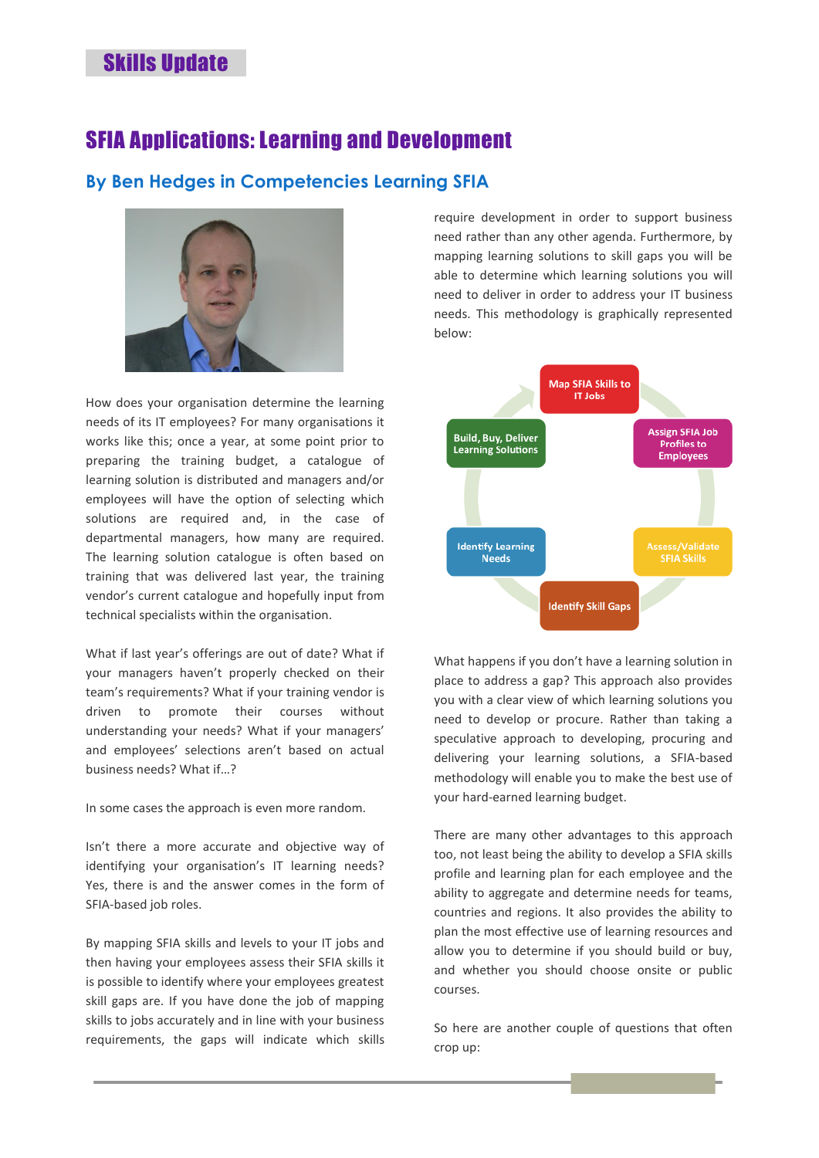#### SFIA Applications: Learning and Development

#### **By Ben Hedges in [Competencies](http://www.lexonis.com/blog/category/competencies) [Learning](http://www.lexonis.com/blog/category/learning) [SFIA](http://www.lexonis.com/blog/category/sfia)**



How does your organisation determine the learning needs of its IT employees? For many organisations it works like this; once a year, at some point prior to preparing the training budget, a catalogue of learning solution is distributed and managers and/or employees will have the option of selecting which solutions are required and, in the case of departmental managers, how many are required. The learning solution catalogue is often based on training that was delivered last year, the training vendor's current catalogue and hopefully input from technical specialists within the organisation.

What if last year's offerings are out of date? What if your managers haven't properly checked on their team's requirements? What if your training vendor is driven to promote their courses without understanding your needs? What if your managers' and employees' selections aren't based on actual business needs? What if…?

In some cases the approach is even more random.

Isn't there a more accurate and objective way of identifying your organisation's IT learning needs? Yes, there is and the answer comes in the form of SFIA-based job roles.

By mapping SFIA skills and levels to your IT jobs and then having your employees assess their SFIA skills it is possible to identify where your employees greatest skill gaps are. If you have done the job of mapping skills to jobs accurately and in line with your business requirements, the gaps will indicate which skills require development in order to support business need rather than any other agenda. Furthermore, by mapping learning solutions to skill gaps you will be able to determine which learning solutions you will need to deliver in order to address your IT business needs. This methodology is graphically represented below:



What happens if you don't have a learning solution in place to address a gap? This approach also provides you with a clear view of which learning solutions you need to develop or procure. Rather than taking a speculative approach to developing, procuring and delivering your learning solutions, a SFIA-based methodology will enable you to make the best use of your hard-earned learning budget.

There are many other advantages to this approach too, not least being the ability to develop a SFIA skills profile and learning plan for each employee and the ability to aggregate and determine needs for teams, countries and regions. It also provides the ability to plan the most effective use of learning resources and allow you to determine if you should build or buy, and whether you should choose onsite or public courses.

So here are another couple of questions that often crop up: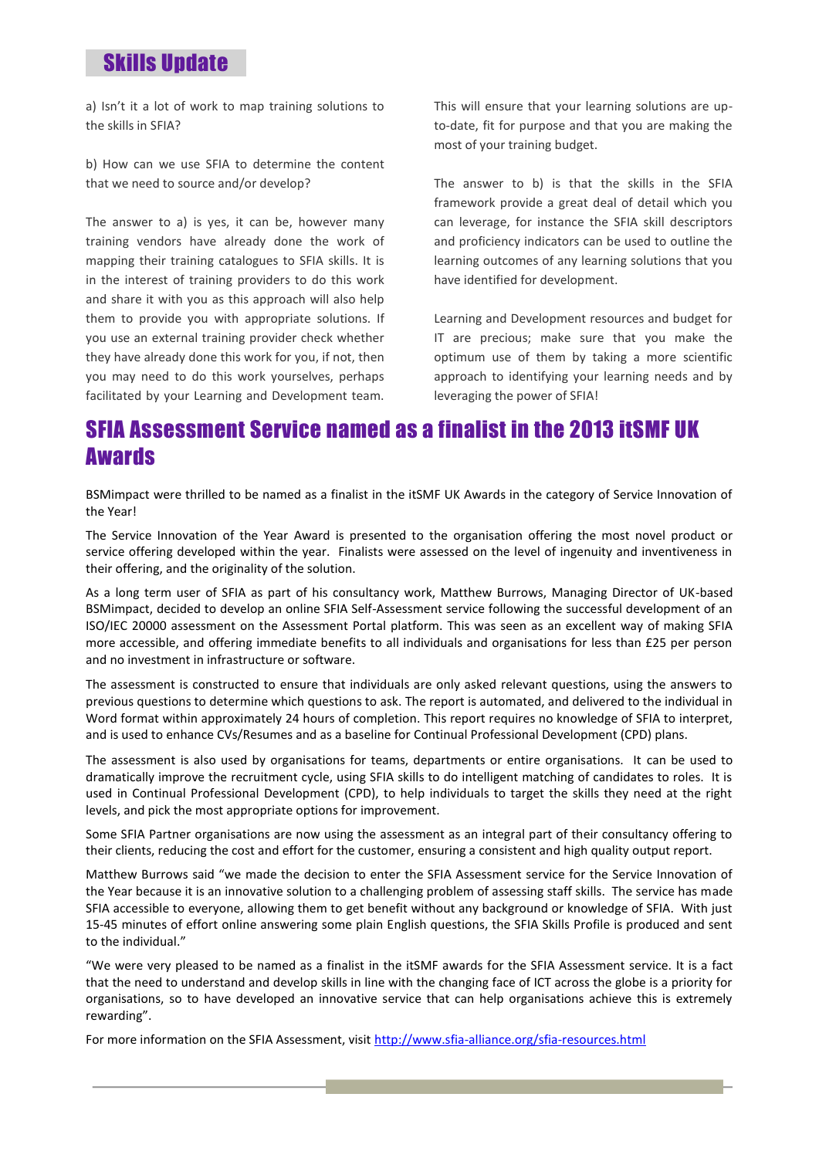a) Isn't it a lot of work to map training solutions to the skills in SFIA?

b) How can we use SFIA to determine the content that we need to source and/or develop?

The answer to a) is yes, it can be, however many training vendors have already done the work of mapping their training catalogues to SFIA skills. It is in the interest of training providers to do this work and share it with you as this approach will also help them to provide you with appropriate solutions. If you use an external training provider check whether they have already done this work for you, if not, then you may need to do this work yourselves, perhaps facilitated by your Learning and Development team.

This will ensure that your learning solutions are upto-date, fit for purpose and that you are making the most of your training budget.

The answer to b) is that the skills in the SFIA framework provide a great deal of detail which you can leverage, for instance the SFIA skill descriptors and proficiency indicators can be used to outline the learning outcomes of any learning solutions that you have identified for development.

Learning and Development resources and budget for IT are precious; make sure that you make the optimum use of them by taking a more scientific approach to identifying your learning needs and by leveraging the power of SFIA!

#### SFIA Assessment Service named as a finalist in the 2013 itSMF UK Awards

BSMimpact were thrilled to be named as a finalist in the itSMF UK Awards in the category of Service Innovation of the Year!

The Service Innovation of the Year Award is presented to the organisation offering the most novel product or service offering developed within the year. Finalists were assessed on the level of ingenuity and inventiveness in their offering, and the originality of the solution.

As a long term user of SFIA as part of his consultancy work, Matthew Burrows, Managing Director of UK-based BSMimpact, decided to develop an online SFIA Self-Assessment service following the successful development of an ISO/IEC 20000 assessment on the Assessment Portal platform. This was seen as an excellent way of making SFIA more accessible, and offering immediate benefits to all individuals and organisations for less than £25 per person and no investment in infrastructure or software.

The assessment is constructed to ensure that individuals are only asked relevant questions, using the answers to previous questions to determine which questions to ask. The report is automated, and delivered to the individual in Word format within approximately 24 hours of completion. This report requires no knowledge of SFIA to interpret, and is used to enhance CVs/Resumes and as a baseline for Continual Professional Development (CPD) plans.

The assessment is also used by organisations for teams, departments or entire organisations. It can be used to dramatically improve the recruitment cycle, using SFIA skills to do intelligent matching of candidates to roles. It is used in Continual Professional Development (CPD), to help individuals to target the skills they need at the right levels, and pick the most appropriate options for improvement.

Some SFIA Partner organisations are now using the assessment as an integral part of their consultancy offering to their clients, reducing the cost and effort for the customer, ensuring a consistent and high quality output report.

Matthew Burrows said "we made the decision to enter the SFIA Assessment service for the Service Innovation of the Year because it is an innovative solution to a challenging problem of assessing staff skills. The service has made SFIA accessible to everyone, allowing them to get benefit without any background or knowledge of SFIA. With just 15-45 minutes of effort online answering some plain English questions, the SFIA Skills Profile is produced and sent to the individual."

"We were very pleased to be named as a finalist in the itSMF awards for the SFIA Assessment service. It is a fact that the need to understand and develop skills in line with the changing face of ICT across the globe is a priority for organisations, so to have developed an innovative service that can help organisations achieve this is extremely rewarding".

For more information on the SFIA Assessment, visit <http://www.sfia-alliance.org/sfia-resources.html>